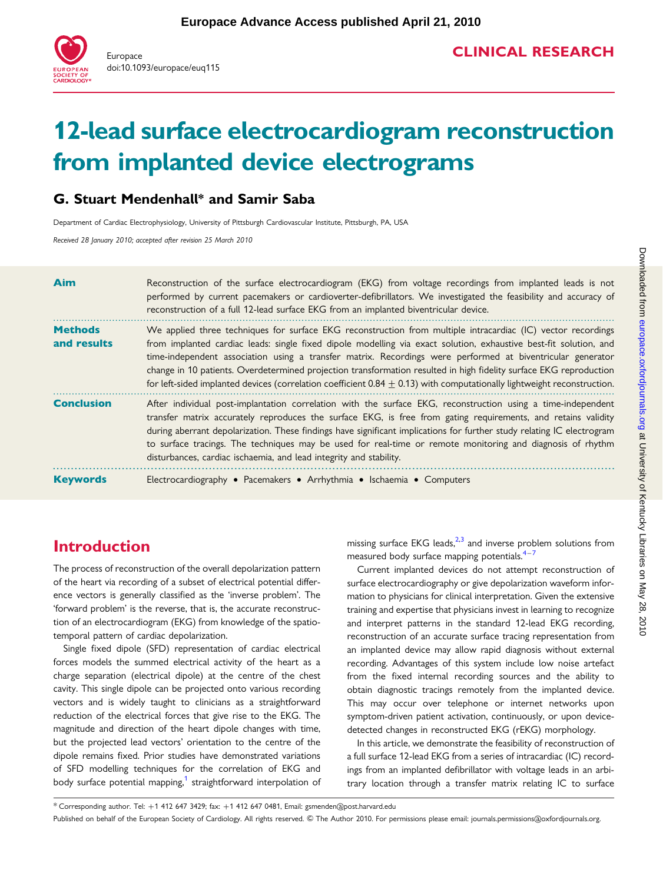

# 12-lead surface electrocardiogram reconstruction from implanted device electrograms

### G. Stuart Mendenhall\* and Samir Saba

Department of Cardiac Electrophysiology, University of Pittsburgh Cardiovascular Institute, Pittsburgh, PA, USA

Received 28 January 2010; accepted after revision 25 March 2010

| <b>Aim</b>                    | Reconstruction of the surface electrocardiogram (EKG) from voltage recordings from implanted leads is not<br>performed by current pacemakers or cardioverter-defibrillators. We investigated the feasibility and accuracy of<br>reconstruction of a full 12-lead surface EKG from an implanted biventricular device.                                                                                                                                                                                                                                                                                  |
|-------------------------------|-------------------------------------------------------------------------------------------------------------------------------------------------------------------------------------------------------------------------------------------------------------------------------------------------------------------------------------------------------------------------------------------------------------------------------------------------------------------------------------------------------------------------------------------------------------------------------------------------------|
| <b>Methods</b><br>and results | We applied three techniques for surface EKG reconstruction from multiple intracardiac (IC) vector recordings<br>from implanted cardiac leads: single fixed dipole modelling via exact solution, exhaustive best-fit solution, and<br>time-independent association using a transfer matrix. Recordings were performed at biventricular generator<br>change in 10 patients. Overdetermined projection transformation resulted in high fidelity surface EKG reproduction<br>for left-sided implanted devices (correlation coefficient $0.84 \pm 0.13$ ) with computationally lightweight reconstruction. |
| <b>Conclusion</b>             | After individual post-implantation correlation with the surface EKG, reconstruction using a time-independent<br>transfer matrix accurately reproduces the surface EKG, is free from gating requirements, and retains validity<br>during aberrant depolarization. These findings have significant implications for further study relating IC electrogram<br>to surface tracings. The techniques may be used for real-time or remote monitoring and diagnosis of rhythm<br>disturbances, cardiac ischaemia, and lead integrity and stability.                                                           |
| <b>Keywords</b>               | Electrocardiography • Pacemakers • Arrhythmia • Ischaemia • Computers                                                                                                                                                                                                                                                                                                                                                                                                                                                                                                                                 |

# Introduction

The process of reconstruction of the overall depolarization pattern of the heart via recording of a subset of electrical potential difference vectors is generally classified as the 'inverse problem'. The 'forward problem' is the reverse, that is, the accurate reconstruction of an electrocardiogram (EKG) from knowledge of the spatiotemporal pattern of cardiac depolarization.

Single fixed dipole (SFD) representation of cardiac electrical forces models the summed electrical activity of the heart as a charge separation (electrical dipole) at the centre of the chest cavity. This single dipole can be projected onto various recording vectors and is widely taught to clinicians as a straightforward reduction of the electrical forces that give rise to the EKG. The magnitude and direction of the heart dipole changes with time, but the projected lead vectors' orientation to the centre of the dipole remains fixed. Prior studies have demonstrated variations of SFD modelling techniques for the correlation of EKG and body surface potential mapping,<sup>1</sup> straightforward interpolation of missing surface EKG leads, $2,3$  $2,3$  and inverse problem solutions from measured body surface mapping potentials. $4-7$  $4-7$  $4-7$ 

Current implanted devices do not attempt reconstruction of surface electrocardiography or give depolarization waveform information to physicians for clinical interpretation. Given the extensive training and expertise that physicians invest in learning to recognize and interpret patterns in the standard 12-lead EKG recording, reconstruction of an accurate surface tracing representation from an implanted device may allow rapid diagnosis without external recording. Advantages of this system include low noise artefact from the fixed internal recording sources and the ability to obtain diagnostic tracings remotely from the implanted device. This may occur over telephone or internet networks upon symptom-driven patient activation, continuously, or upon devicedetected changes in reconstructed EKG (rEKG) morphology.

In this article, we demonstrate the feasibility of reconstruction of a full surface 12-lead EKG from a series of intracardiac (IC) recordings from an implanted defibrillator with voltage leads in an arbitrary location through a transfer matrix relating IC to surface

\* Corresponding author. Tel: +1 412 647 3429; fax: +1 412 647 0481, Email: gsmenden@post.harvard.edu

Published on behalf of the European Society of Cardiology. All rights reserved. © The Author 2010. For permissions please email: journals.permissions@oxfordjournals.org.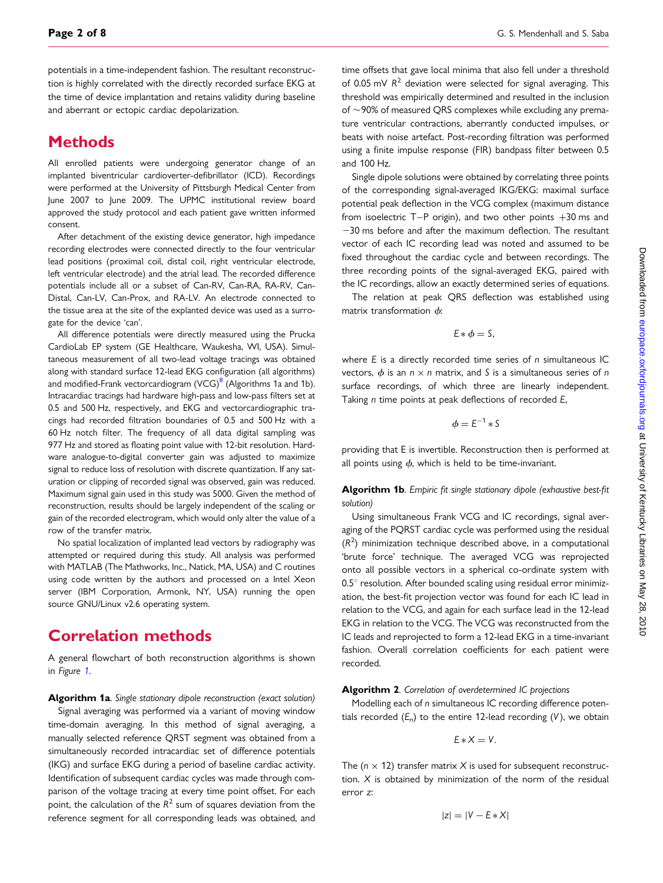potentials in a time-independent fashion. The resultant reconstruction is highly correlated with the directly recorded surface EKG at the time of device implantation and retains validity during baseline and aberrant or ectopic cardiac depolarization.

### **Methods**

All enrolled patients were undergoing generator change of an implanted biventricular cardioverter-defibrillator (ICD). Recordings were performed at the University of Pittsburgh Medical Center from June 2007 to June 2009. The UPMC institutional review board approved the study protocol and each patient gave written informed consent.

After detachment of the existing device generator, high impedance recording electrodes were connected directly to the four ventricular lead positions (proximal coil, distal coil, right ventricular electrode, left ventricular electrode) and the atrial lead. The recorded difference potentials include all or a subset of Can-RV, Can-RA, RA-RV, Can-Distal, Can-LV, Can-Prox, and RA-LV. An electrode connected to the tissue area at the site of the explanted device was used as a surrogate for the device 'can'.

All difference potentials were directly measured using the Prucka CardioLab EP system (GE Healthcare, Waukesha, WI, USA). Simultaneous measurement of all two-lead voltage tracings was obtained along with standard surface 12-lead EKG configuration (all algorithms) and modified-Frank vectorcardiogram  $(VCG)^8$  $(VCG)^8$  (Algorithms 1a and 1b). Intracardiac tracings had hardware high-pass and low-pass filters set at 0.5 and 500 Hz, respectively, and EKG and vectorcardiographic tracings had recorded filtration boundaries of 0.5 and 500 Hz with a 60 Hz notch filter. The frequency of all data digital sampling was 977 Hz and stored as floating point value with 12-bit resolution. Hardware analogue-to-digital converter gain was adjusted to maximize signal to reduce loss of resolution with discrete quantization. If any saturation or clipping of recorded signal was observed, gain was reduced. Maximum signal gain used in this study was 5000. Given the method of reconstruction, results should be largely independent of the scaling or gain of the recorded electrogram, which would only alter the value of a row of the transfer matrix.

No spatial localization of implanted lead vectors by radiography was attempted or required during this study. All analysis was performed with MATLAB (The Mathworks, Inc., Natick, MA, USA) and C routines using code written by the authors and processed on a Intel Xeon server (IBM Corporation, Armonk, NY, USA) running the open source GNU/Linux v2.6 operating system.

## Correlation methods

A general flowchart of both reconstruction algorithms is shown in Figure [1](#page-2-0).

Algorithm 1a. Single stationary dipole reconstruction (exact solution) Signal averaging was performed via a variant of moving window time-domain averaging. In this method of signal averaging, a manually selected reference QRST segment was obtained from a simultaneously recorded intracardiac set of difference potentials (IKG) and surface EKG during a period of baseline cardiac activity. Identification of subsequent cardiac cycles was made through comparison of the voltage tracing at every time point offset. For each point, the calculation of the  $R^2$  sum of squares deviation from the reference segment for all corresponding leads was obtained, and time offsets that gave local minima that also fell under a threshold of 0.05 mV  $R^2$  deviation were selected for signal averaging. This threshold was empirically determined and resulted in the inclusion of  $\sim$ 90% of measured QRS complexes while excluding any premature ventricular contractions, aberrantly conducted impulses, or beats with noise artefact. Post-recording filtration was performed using a finite impulse response (FIR) bandpass filter between 0.5 and 100 Hz.

Single dipole solutions were obtained by correlating three points of the corresponding signal-averaged IKG/EKG: maximal surface potential peak deflection in the VCG complex (maximum distance from isoelectric  $T - P$  origin), and two other points  $+30$  ms and  $-30$  ms before and after the maximum deflection. The resultant vector of each IC recording lead was noted and assumed to be fixed throughout the cardiac cycle and between recordings. The three recording points of the signal-averaged EKG, paired with the IC recordings, allow an exactly determined series of equations.

The relation at peak QRS deflection was established using matrix transformation  $\phi$ :

$$
E*\phi=S,
$$

where E is a directly recorded time series of n simultaneous IC vectors,  $\phi$  is an  $n \times n$  matrix, and S is a simultaneous series of n surface recordings, of which three are linearly independent. Taking n time points at peak deflections of recorded E,

$$
\phi = E^{-1} * S
$$

providing that E is invertible. Reconstruction then is performed at all points using  $\phi$ , which is held to be time-invariant.

Algorithm 1b. Empiric fit single stationary dipole (exhaustive best-fit solution)

Using simultaneous Frank VCG and IC recordings, signal averaging of the PQRST cardiac cycle was performed using the residual  $(R<sup>2</sup>)$  minimization technique described above, in a computational 'brute force' technique. The averaged VCG was reprojected onto all possible vectors in a spherical co-ordinate system with  $0.5^\circ$  resolution. After bounded scaling using residual error minimization, the best-fit projection vector was found for each IC lead in relation to the VCG, and again for each surface lead in the 12-lead EKG in relation to the VCG. The VCG was reconstructed from the IC leads and reprojected to form a 12-lead EKG in a time-invariant fashion. Overall correlation coefficients for each patient were recorded.

#### Algorithm 2. Correlation of overdetermined IC projections

Modelling each of n simultaneous IC recording difference potentials recorded  $(E_n)$  to the entire 12-lead recording (V), we obtain

$$
E*X=V.
$$

The ( $n \times 12$ ) transfer matrix X is used for subsequent reconstruction. X is obtained by minimization of the norm of the residual error z:

$$
|z| = |V - E * X|
$$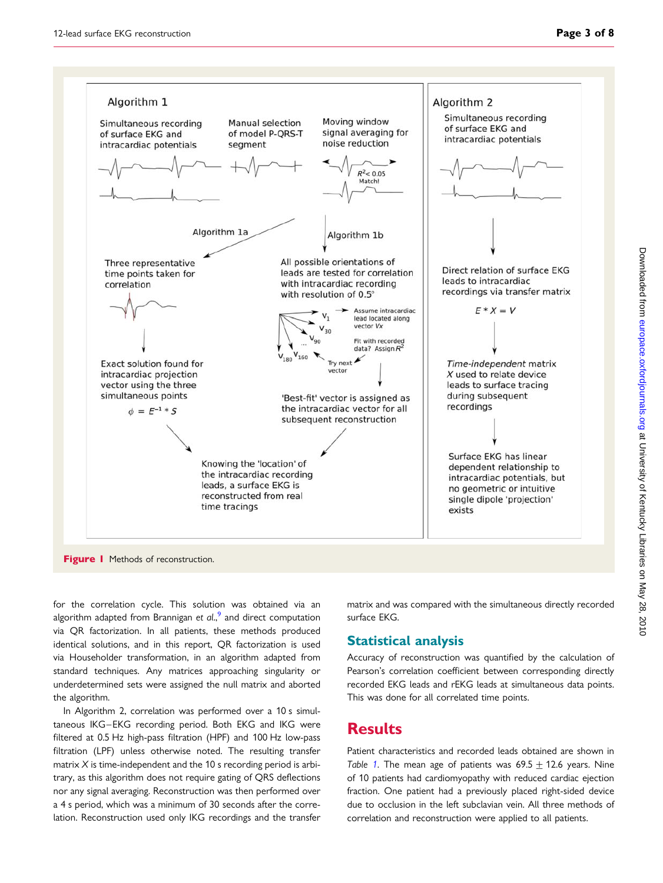<span id="page-2-0"></span>

for the correlation cycle. This solution was obtained via an algorithm adapted from Brannigan et al.,<sup>[9](#page-7-0)</sup> and direct computation via QR factorization. In all patients, these methods produced identical solutions, and in this report, QR factorization is used via Householder transformation, in an algorithm adapted from standard techniques. Any matrices approaching singularity or underdetermined sets were assigned the null matrix and aborted the algorithm.

In Algorithm 2, correlation was performed over a 10 s simultaneous IKG-EKG recording period. Both EKG and IKG were filtered at 0.5 Hz high-pass filtration (HPF) and 100 Hz low-pass filtration (LPF) unless otherwise noted. The resulting transfer matrix  $X$  is time-independent and the 10 s recording period is arbitrary, as this algorithm does not require gating of QRS deflections nor any signal averaging. Reconstruction was then performed over a 4 s period, which was a minimum of 30 seconds after the correlation. Reconstruction used only IKG recordings and the transfer

matrix and was compared with the simultaneous directly recorded surface EKG.

### Statistical analysis

Accuracy of reconstruction was quantified by the calculation of Pearson's correlation coefficient between corresponding directly recorded EKG leads and rEKG leads at simultaneous data points. This was done for all correlated time points.

# **Results**

Patient characteristics and recorded leads obtained are shown in Table [1](#page-3-0). The mean age of patients was  $69.5 \pm 12.6$  years. Nine of 10 patients had cardiomyopathy with reduced cardiac ejection fraction. One patient had a previously placed right-sided device due to occlusion in the left subclavian vein. All three methods of correlation and reconstruction were applied to all patients.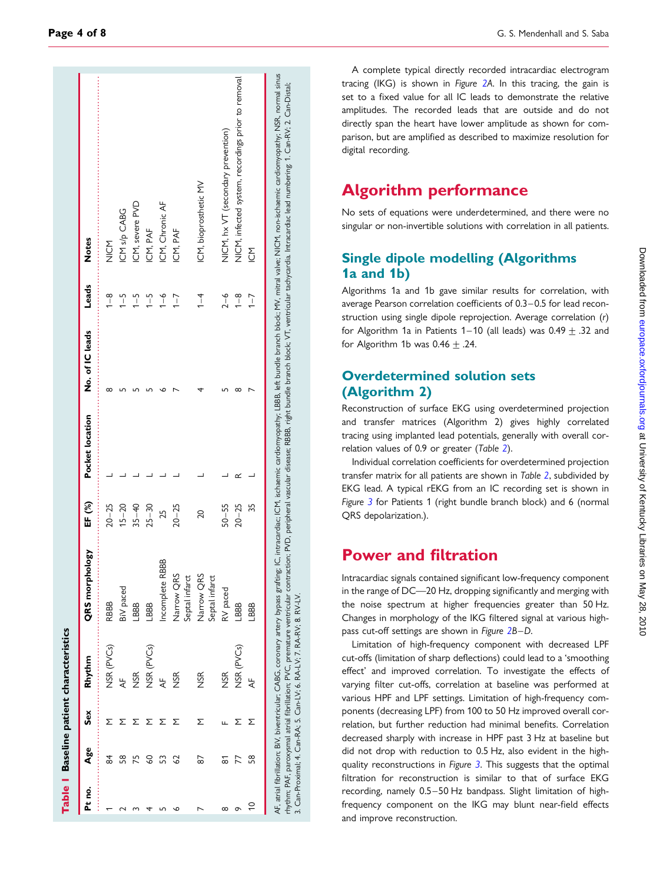<span id="page-3-0"></span>

| Pt no. | Age | Sex | Rhythm         | QRS morphology               | EF (%)    | Pocket location | No. of IC leads | Leads         | <b>Notes</b>                                       |
|--------|-----|-----|----------------|------------------------------|-----------|-----------------|-----------------|---------------|----------------------------------------------------|
|        | 84  | Σ   | NSR (PVCs)     | <b>RBBB</b>                  | $20 - 25$ |                 |                 | $\frac{8}{1}$ | <b>MON</b>                                         |
|        | 58  |     | ₹              | BiV paced                    | $15 - 20$ |                 |                 | $\frac{1}{2}$ | CM <sub>s/p</sub> CABG                             |
|        | ю   |     | NSR            | LBBB                         | $35 - 40$ |                 |                 | $\frac{1}{2}$ | ICM, severe PVD                                    |
|        |     |     | NSR (PVCs)     | LBBB                         | $25 - 30$ |                 |                 | $1 - 5$       | ICM, PAF                                           |
|        |     |     | $\overline{4}$ | Incomplete RBBE              | 25        |                 |                 | $\frac{9}{1}$ | ICM, Chronic AF                                    |
|        | ଌ   | Σ   | SR<br>Z        | Narrow QRS<br>Septal infarct | $20 - 25$ |                 |                 | $1 - 7$       | ICM, PAF                                           |
|        | 5   | Σ   | NSR            | Narrow QRS<br>Septal infarct | 20        |                 |                 | $\frac{4}{1}$ | ICM, bioprosthetic MV                              |
|        | ౚ   |     | NSR            | RV paced                     | $50 - 55$ |                 |                 | $2 - 6$       | NICM, hx VT (secondary prevention)                 |
| ᡡ      |     |     | NSR (PVCs)     | LBBB                         | $20 - 25$ | ๔               | ∞               | $1 - 8$       | NICM, infected system, recordings prior to removal |
|        | အ   | Σ   | $\overline{4}$ | LBBB                         | 35        |                 |                 | $1 - 7$       | $\overline{\text{S}}$                              |

# Algorithm performance

digital recording.

No sets of equations were underdetermined, and there were no singular or non-invertible solutions with correlation in all patients.

### Single dipole modelling (Algorithms 1a and 1b)

Algorithms 1a and 1b gave similar results for correlation, with average Pearson correlation coefficients of 0.3-0.5 for lead reconstruction using single dipole reprojection. Average correlation (r) for Algorithm 1a in Patients 1–10 (all leads) was 0.49  $\pm$  .32 and for Algorithm 1b was  $0.46 \pm .24$ .

### Overdetermined solution sets (Algorithm 2)

Reconstruction of surface EKG using overdetermined projection and transfer matrices (Algorithm 2) gives highly correlated tracing using implanted lead potentials, generally with overall correlation values of 0.9 or greater (Table [2](#page-4-0)).

Individual correlation coefficients for overdetermined projection transfer matrix for all patients are shown in Table [2](#page-4-0), subdivided by EKG lead. A typical rEKG from an IC recording set is shown in Figure [3](#page-5-0) for Patients 1 (right bundle branch block) and 6 (normal QRS depolarization.).

## Power and filtration

Intracardiac signals contained significant low-frequency component in the range of DC—20 Hz, dropping significantly and merging with the noise spectrum at higher frequencies greater than 50 Hz. Changes in morphology of the IKG filtered signal at various highpass cut-off settings are shown in Figure [2](#page-4-0)B–D.

Limitation of high-frequency component with decreased LPF cut-offs (limitation of sharp deflections) could lead to a 'smoothing effect' and improved correlation. To investigate the effects of varying filter cut-offs, correlation at baseline was performed at various HPF and LPF settings. Limitation of high-frequency components (decreasing LPF) from 100 to 50 Hz improved overall correlation, but further reduction had minimal benefits. Correlation decreased sharply with increase in HPF past 3 Hz at baseline but did not drop with reduction to 0.5 Hz, also evident in the high-quality reconstructions in Figure [3](#page-5-0). This suggests that the optimal filtration for reconstruction is similar to that of surface EKG recording, namely 0.5 –50 Hz bandpass. Slight limitation of highfrequency component on the IKG may blunt near-field effects and improve reconstruction.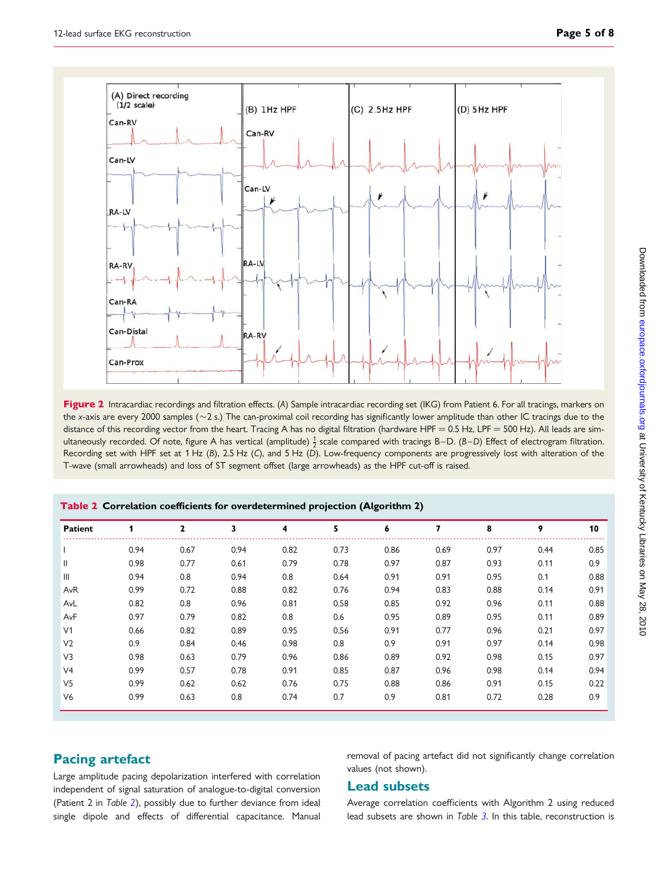<span id="page-4-0"></span>

Figure 2 Intracardiac recordings and filtration effects. (A) Sample intracardiac recording set (IKG) from Patient 6. For all tracings, markers on the x-axis are every 2000 samples ( $\sim$ 2 s.) The can-proximal coil recording has significantly lower amplitude than other IC tracings due to the distance of this recording vector from the heart. Tracing A has no digital filtration (hardware HPF = 0.5 Hz, LPF = 500 Hz). All leads are simultaneously recorded. Of note, figure A has vertical (amplitude)  $\frac{1}{2}$  scale compared with tracings B–D. (B–D) Effect of electrogram filtration. Recording set with HPF set at 1 Hz (B), 2.5 Hz (C), and 5 Hz (D). Low-frequency components are progressively lost with alteration of the T-wave (small arrowheads) and loss of ST segment offset (large arrowheads) as the HPF cut-off is raised.

| <b>Patient</b> |      | $\mathbf{2}$ |      | 4    | 5    | 6    |      | 8    | 9    | 10   |
|----------------|------|--------------|------|------|------|------|------|------|------|------|
|                | 0.94 | 0.67         | 0.94 | 0.82 | 0.73 | 0.86 | 0.69 | 0.97 | 0.44 | 0.85 |
| $\mathbf{H}$   | 0.98 | 0.77         | 0.61 | 0.79 | 0.78 | 0.97 | 0.87 | 0.93 | 0.11 | 0.9  |
| Ш              | 0.94 | 0.8          | 0.94 | 0.8  | 0.64 | 0.91 | 0.91 | 0.95 | 0.1  | 0.88 |
| AvR            | 0.99 | 0.72         | 0.88 | 0.82 | 0.76 | 0.94 | 0.83 | 0.88 | 0.14 | 0.91 |
| AvL            | 0.82 | 0.8          | 0.96 | 0.81 | 0.58 | 0.85 | 0.92 | 0.96 | 0.11 | 0.88 |
| AvF            | 0.97 | 0.79         | 0.82 | 0.8  | 0.6  | 0.95 | 0.89 | 0.95 | 0.11 | 0.89 |
| V <sub>1</sub> | 0.66 | 0.82         | 0.89 | 0.95 | 0.56 | 0.91 | 0.77 | 0.96 | 0.21 | 0.97 |
| V <sub>2</sub> | 0.9  | 0.84         | 0.46 | 0.98 | 0.8  | 0.9  | 0.91 | 0.97 | 0.14 | 0.98 |
| V <sub>3</sub> | 0.98 | 0.63         | 0.79 | 0.96 | 0.86 | 0.89 | 0.92 | 0.98 | 0.15 | 0.97 |
| V <sub>4</sub> | 0.99 | 0.57         | 0.78 | 0.91 | 0.85 | 0.87 | 0.96 | 0.98 | 0.14 | 0.94 |
| V <sub>5</sub> | 0.99 | 0.62         | 0.62 | 0.76 | 0.75 | 0.88 | 0.86 | 0.91 | 0.15 | 0.22 |
| V <sub>6</sub> | 0.99 | 0.63         | 0.8  | 0.74 | 0.7  | 0.9  | 0.81 | 0.72 | 0.28 | 0.9  |

Table 2 Correlation coefficients for overdetermined projection (Algorithm 2)

### Pacing artefact

Large amplitude pacing depolarization interfered with correlation independent of signal saturation of analogue-to-digital conversion (Patient 2 in Table 2), possibly due to further deviance from ideal single dipole and effects of differential capacitance. Manual removal of pacing artefact did not significantly change correlation values (not shown).

#### Lead subsets

Average correlation coefficients with Algorithm 2 using reduced lead subsets are shown in Table [3](#page-5-0). In this table, reconstruction is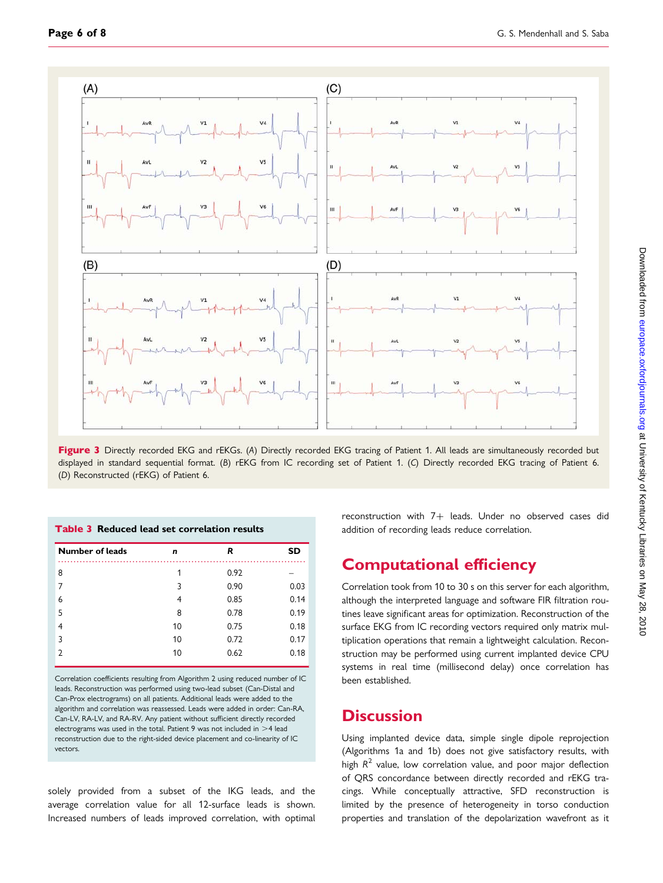<span id="page-5-0"></span>

Figure 3 Directly recorded EKG and rEKGs. (A) Directly recorded EKG tracing of Patient 1. All leads are simultaneously recorded but displayed in standard sequential format. (B) rEKG from IC recording set of Patient 1. (C) Directly recorded EKG tracing of Patient 6. (D) Reconstructed (rEKG) of Patient 6.

| <b>Table 3</b> Reduced lead set correlation results |    |      |      |  |  |  |  |
|-----------------------------------------------------|----|------|------|--|--|--|--|
| <b>Number of leads</b>                              | n  | R    | SD   |  |  |  |  |
| 8                                                   | 1  | 0.92 |      |  |  |  |  |
| 7                                                   | 3  | 0.90 | 0.03 |  |  |  |  |
| 6                                                   | 4  | 0.85 | 0.14 |  |  |  |  |
| 5                                                   | 8  | 0.78 | 0.19 |  |  |  |  |
|                                                     | 10 | 0.75 | 0.18 |  |  |  |  |
| 3                                                   | 10 | 0.72 | 0.17 |  |  |  |  |
| 2                                                   | 10 | 0.62 | 0.18 |  |  |  |  |

Correlation coefficients resulting from Algorithm 2 using reduced number of IC leads. Reconstruction was performed using two-lead subset (Can-Distal and Can-Prox electrograms) on all patients. Additional leads were added to the algorithm and correlation was reassessed. Leads were added in order: Can-RA, Can-LV, RA-LV, and RA-RV. Any patient without sufficient directly recorded electrograms was used in the total. Patient 9 was not included in  $>$ 4 lead reconstruction due to the right-sided device placement and co-linearity of IC vectors.

solely provided from a subset of the IKG leads, and the average correlation value for all 12-surface leads is shown. Increased numbers of leads improved correlation, with optimal reconstruction with 7+ leads. Under no observed cases did addition of recording leads reduce correlation.

# Computational efficiency

Correlation took from 10 to 30 s on this server for each algorithm, although the interpreted language and software FIR filtration routines leave significant areas for optimization. Reconstruction of the surface EKG from IC recording vectors required only matrix multiplication operations that remain a lightweight calculation. Reconstruction may be performed using current implanted device CPU systems in real time (millisecond delay) once correlation has been established.

# **Discussion**

Using implanted device data, simple single dipole reprojection (Algorithms 1a and 1b) does not give satisfactory results, with high  $R^2$  value, low correlation value, and poor major deflection of QRS concordance between directly recorded and rEKG tracings. While conceptually attractive, SFD reconstruction is limited by the presence of heterogeneity in torso conduction properties and translation of the depolarization wavefront as it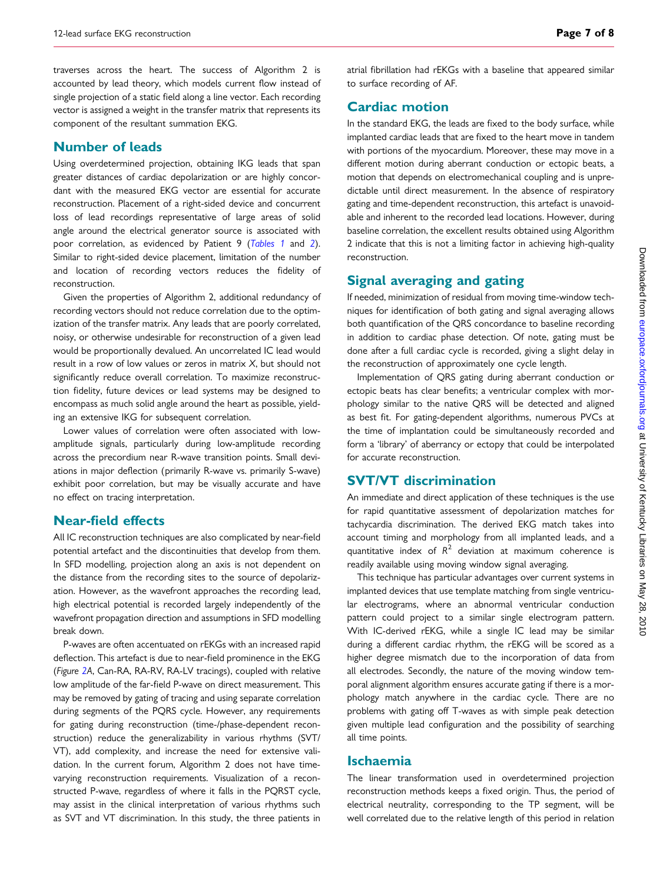traverses across the heart. The success of Algorithm 2 is accounted by lead theory, which models current flow instead of single projection of a static field along a line vector. Each recording vector is assigned a weight in the transfer matrix that represents its component of the resultant summation EKG.

#### Number of leads

Using overdetermined projection, obtaining IKG leads that span greater distances of cardiac depolarization or are highly concordant with the measured EKG vector are essential for accurate reconstruction. Placement of a right-sided device and concurrent loss of lead recordings representative of large areas of solid angle around the electrical generator source is associated with poor correlation, as evidenced by Patient 9 ([Tables 1](#page-3-0) and [2](#page-4-0)). Similar to right-sided device placement, limitation of the number and location of recording vectors reduces the fidelity of reconstruction.

Given the properties of Algorithm 2, additional redundancy of recording vectors should not reduce correlation due to the optimization of the transfer matrix. Any leads that are poorly correlated, noisy, or otherwise undesirable for reconstruction of a given lead would be proportionally devalued. An uncorrelated IC lead would result in a row of low values or zeros in matrix X, but should not significantly reduce overall correlation. To maximize reconstruction fidelity, future devices or lead systems may be designed to encompass as much solid angle around the heart as possible, yielding an extensive IKG for subsequent correlation.

Lower values of correlation were often associated with lowamplitude signals, particularly during low-amplitude recording across the precordium near R-wave transition points. Small deviations in major deflection (primarily R-wave vs. primarily S-wave) exhibit poor correlation, but may be visually accurate and have no effect on tracing interpretation.

#### Near-field effects

All IC reconstruction techniques are also complicated by near-field potential artefact and the discontinuities that develop from them. In SFD modelling, projection along an axis is not dependent on the distance from the recording sites to the source of depolarization. However, as the wavefront approaches the recording lead, high electrical potential is recorded largely independently of the wavefront propagation direction and assumptions in SFD modelling break down.

P-waves are often accentuated on rEKGs with an increased rapid deflection. This artefact is due to near-field prominence in the EKG (Figure [2](#page-4-0)A, Can-RA, RA-RV, RA-LV tracings), coupled with relative low amplitude of the far-field P-wave on direct measurement. This may be removed by gating of tracing and using separate correlation during segments of the PQRS cycle. However, any requirements for gating during reconstruction (time-/phase-dependent reconstruction) reduce the generalizability in various rhythms (SVT/ VT), add complexity, and increase the need for extensive validation. In the current forum, Algorithm 2 does not have timevarying reconstruction requirements. Visualization of a reconstructed P-wave, regardless of where it falls in the PQRST cycle, may assist in the clinical interpretation of various rhythms such as SVT and VT discrimination. In this study, the three patients in

atrial fibrillation had rEKGs with a baseline that appeared similar to surface recording of AF.

#### Cardiac motion

In the standard EKG, the leads are fixed to the body surface, while implanted cardiac leads that are fixed to the heart move in tandem with portions of the myocardium. Moreover, these may move in a different motion during aberrant conduction or ectopic beats, a motion that depends on electromechanical coupling and is unpredictable until direct measurement. In the absence of respiratory gating and time-dependent reconstruction, this artefact is unavoidable and inherent to the recorded lead locations. However, during baseline correlation, the excellent results obtained using Algorithm 2 indicate that this is not a limiting factor in achieving high-quality reconstruction.

### Signal averaging and gating

If needed, minimization of residual from moving time-window techniques for identification of both gating and signal averaging allows both quantification of the QRS concordance to baseline recording in addition to cardiac phase detection. Of note, gating must be done after a full cardiac cycle is recorded, giving a slight delay in the reconstruction of approximately one cycle length.

Implementation of QRS gating during aberrant conduction or ectopic beats has clear benefits; a ventricular complex with morphology similar to the native QRS will be detected and aligned as best fit. For gating-dependent algorithms, numerous PVCs at the time of implantation could be simultaneously recorded and form a 'library' of aberrancy or ectopy that could be interpolated for accurate reconstruction.

#### SVT/VT discrimination

An immediate and direct application of these techniques is the use for rapid quantitative assessment of depolarization matches for tachycardia discrimination. The derived EKG match takes into account timing and morphology from all implanted leads, and a quantitative index of  $R^2$  deviation at maximum coherence is readily available using moving window signal averaging.

This technique has particular advantages over current systems in implanted devices that use template matching from single ventricular electrograms, where an abnormal ventricular conduction pattern could project to a similar single electrogram pattern. With IC-derived rEKG, while a single IC lead may be similar during a different cardiac rhythm, the rEKG will be scored as a higher degree mismatch due to the incorporation of data from all electrodes. Secondly, the nature of the moving window temporal alignment algorithm ensures accurate gating if there is a morphology match anywhere in the cardiac cycle. There are no problems with gating off T-waves as with simple peak detection given multiple lead configuration and the possibility of searching all time points.

#### Ischaemia

The linear transformation used in overdetermined projection reconstruction methods keeps a fixed origin. Thus, the period of electrical neutrality, corresponding to the TP segment, will be well correlated due to the relative length of this period in relation